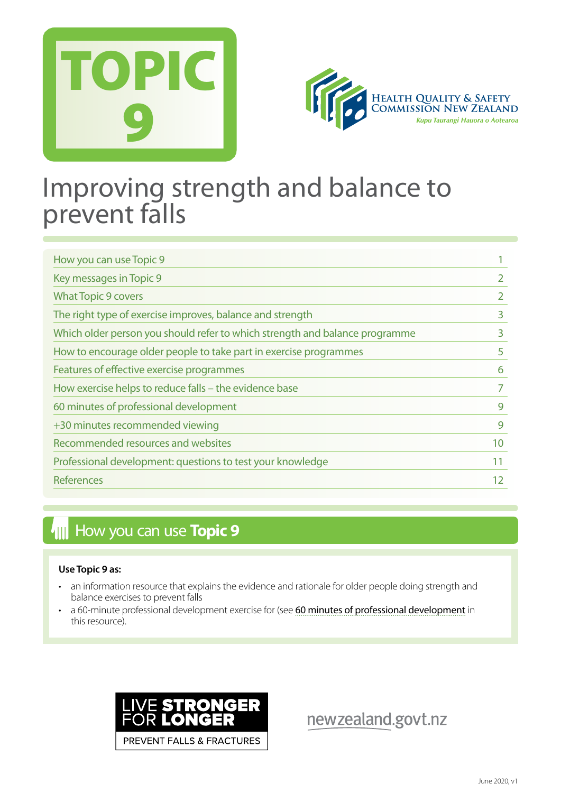



# Improving strength and balance to prevent falls

| How you can use Topic 9                                                     |    |
|-----------------------------------------------------------------------------|----|
| Key messages in Topic 9                                                     |    |
| <b>What Topic 9 covers</b>                                                  |    |
| The right type of exercise improves, balance and strength                   | 3  |
| Which older person you should refer to which strength and balance programme | 3  |
| How to encourage older people to take part in exercise programmes           | 5  |
| Features of effective exercise programmes                                   | 6  |
| How exercise helps to reduce falls - the evidence base                      |    |
| 60 minutes of professional development                                      | 9  |
| +30 minutes recommended viewing                                             | 9  |
| Recommended resources and websites                                          | 10 |
| Professional development: questions to test your knowledge                  | 11 |
| References                                                                  | 12 |

## **How you can use Topic 9**

#### **Use Topic 9 as:**

- an information resource that explains the evidence and rationale for older people doing strength and balance exercises to prevent falls
- a 60-minute professional development exercise for (see [60 minutes of professional development](#page-8-0) in this resource).



newzealand.govt.nz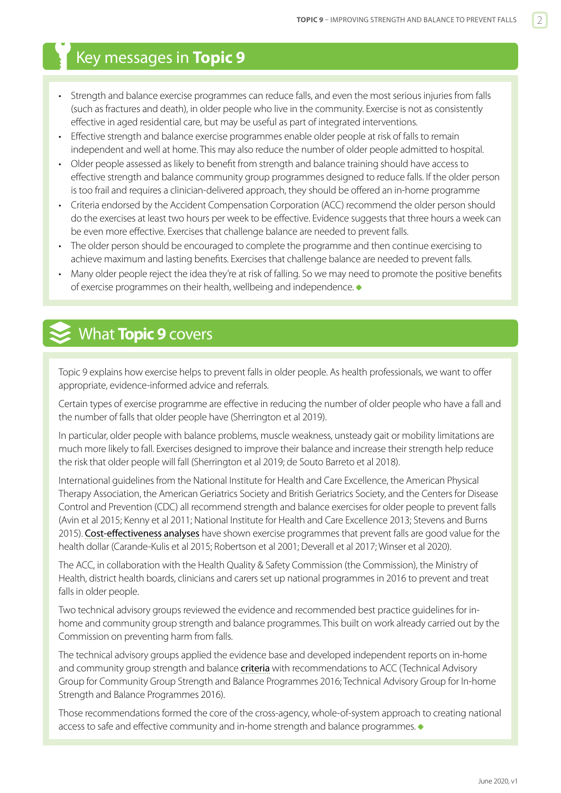## <span id="page-1-0"></span>Key messages in **Topic 9**

- Strength and balance exercise programmes can reduce falls, and even the most serious injuries from falls (such as fractures and death), in older people who live in the community. Exercise is not as consistently effective in aged residential care, but may be useful as part of integrated interventions.
- Effective strength and balance exercise programmes enable older people at risk of falls to remain independent and well at home. This may also reduce the number of older people admitted to hospital.
- Older people assessed as likely to benefit from strength and balance training should have access to effective strength and balance community group programmes designed to reduce falls. If the older person is too frail and requires a clinician-delivered approach, they should be offered an in-home programme
- Criteria endorsed by the Accident Compensation Corporation (ACC) recommend the older person should do the exercises at least two hours per week to be effective. Evidence suggests that three hours a week can be even more effective. Exercises that challenge balance are needed to prevent falls.
- The older person should be encouraged to complete the programme and then continue exercising to achieve maximum and lasting benefits. Exercises that challenge balance are needed to prevent falls.
- Many older people reject the idea they're at risk of falling. So we may need to promote the positive benefits of exercise programmes on their health, wellbeing and independence.

## What **Topic 9** covers

Topic 9 explains how exercise helps to prevent falls in older people. As health professionals, we want to offer appropriate, evidence-informed advice and referrals.

Certain types of exercise programme are effective in reducing the number of older people who have a fall and the number of falls that older people have (Sherrington et al 2019).

In particular, older people with balance problems, muscle weakness, unsteady gait or mobility limitations are much more likely to fall. Exercises designed to improve their balance and increase their strength help reduce the risk that older people will fall (Sherrington et al 2019; de Souto Barreto et al 2018).

International guidelines from the National Institute for Health and Care Excellence, the American Physical Therapy Association, the American Geriatrics Society and British Geriatrics Society, and the Centers for Disease Control and Prevention (CDC) all recommend strength and balance exercises for older people to prevent falls (Avin et al 2015; Kenny et al 2011; National Institute for Health and Care Excellence 2013; Stevens and Burns 2015). [Cost-effectiveness analyses](https://www.hqsc.govt.nz/our-programmes/reducing-harm-from-falls/publications-and-resources/publication/2886) have shown exercise programmes that prevent falls are good value for the health dollar (Carande-Kulis et al 2015; Robertson et al 2001; Deverall et al 2017; Winser et al 2020).

The ACC, in collaboration with the Health Quality & Safety Commission (the Commission), the Ministry of Health, district health boards, clinicians and carers set up national programmes in 2016 to prevent and treat falls in older people.

Two technical advisory groups reviewed the evidence and recommended best practice guidelines for inhome and community group strength and balance programmes. This built on work already carried out by the Commission on preventing harm from falls.

The technical advisory groups applied the evidence base and developed independent reports on in-home and community group strength and balance **[criteria](#page-5-0)** with recommendations to ACC (Technical Advisory Group for Community Group Strength and Balance Programmes 2016; Technical Advisory Group for In-home Strength and Balance Programmes 2016).

Those recommendations formed the core of the cross-agency, whole-of-system approach to creating national access to safe and effective community and in-home strength and balance programmes.  $\bullet$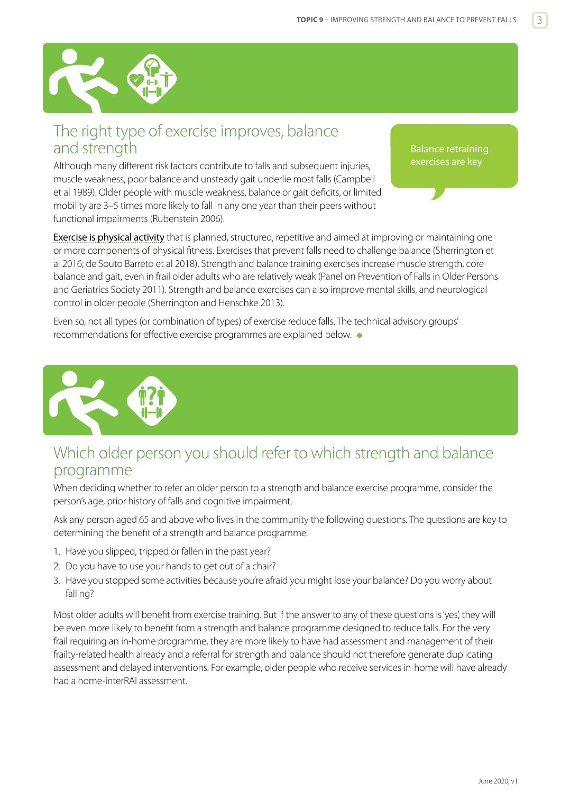<span id="page-2-0"></span>

## The right type of exercise improves, balance and strength

Although many different risk factors contribute to falls and subsequent injuries, muscle weakness, poor balance and unsteady gait underlie most falls (Campbell et al 1989). Older people with muscle weakness, balance or gait deficits, or limited mobility are 3–5 times more likely to fall in any one year than their peers without functional impairments (Rubenstein 2006).

Balance retraining exercises are key

[Exercise is physical activity](http://www.who.int/dietphysicalactivity/pa/en/) that is planned, structured, repetitive and aimed at improving or maintaining one or more components of physical fitness. Exercises that prevent falls need to challenge balance (Sherrington et al 2016; de Souto Barreto et al 2018). Strength and balance training exercises increase muscle strength, core balance and gait, even in frail older adults who are relatively weak (Panel on Prevention of Falls in Older Persons and Geriatrics Society 2011). Strength and balance exercises can also improve mental skills, and neurological control in older people (Sherrington and Henschke 2013).

Even so, not all types (or combination of types) of exercise reduce falls. The technical advisory groups' recommendations for effective exercise programmes are explained below.



## Which older person you should refer to which strength and balance programme

When deciding whether to refer an older person to a strength and balance exercise programme, consider the person's age, prior history of falls and cognitive impairment.

Ask any person aged 65 and above who lives in the community the following questions. The questions are key to determining the benefit of a strength and balance programme.

- 1. Have you slipped, tripped or fallen in the past year?
- 2. Do you have to use your hands to get out of a chair?
- 3. Have you stopped some activities because you're afraid you might lose your balance? Do you worry about falling?

Most older adults will benefit from exercise training. But if the answer to any of these questions is 'yes', they will be even more likely to benefit from a strength and balance programme designed to reduce falls. For the very frail requiring an in-home programme, they are more likely to have had assessment and management of their frailty-related health already and a referral for strength and balance should not therefore generate duplicating assessment and delayed interventions. For example, older people who receive services in-home will have already had a home-interRAI assessment.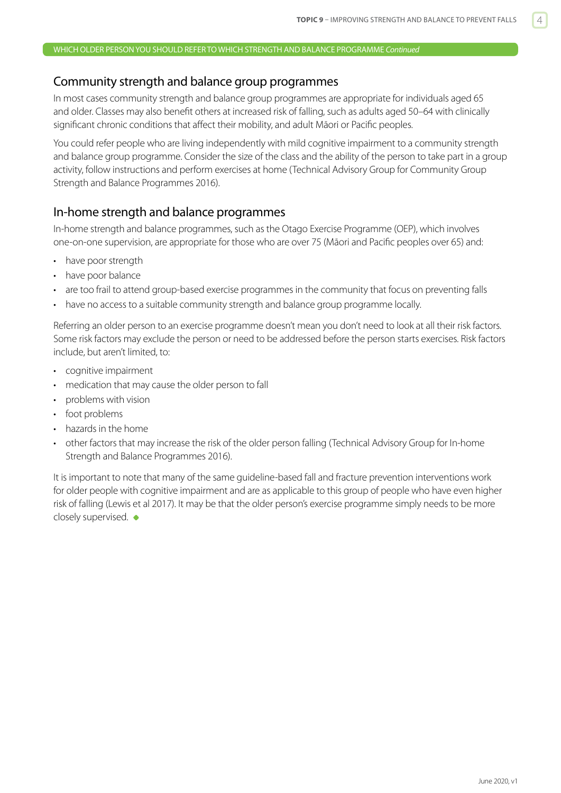#### <span id="page-3-0"></span>Community strength and balance group programmes

In most cases community strength and balance group programmes are appropriate for individuals aged 65 and older. Classes may also benefit others at increased risk of falling, such as adults aged 50–64 with clinically significant chronic conditions that affect their mobility, and adult Māori or Pacific peoples.

You could refer people who are living independently with mild cognitive impairment to a community strength and balance group programme. Consider the size of the class and the ability of the person to take part in a group activity, follow instructions and perform exercises at home (Technical Advisory Group for Community Group Strength and Balance Programmes 2016).

#### In-home strength and balance programmes

In-home strength and balance programmes, such as the Otago Exercise Programme (OEP), which involves one-on-one supervision, are appropriate for those who are over 75 (Māori and Pacific peoples over 65) and:

- have poor strength
- have poor balance
- are too frail to attend group-based exercise programmes in the community that focus on preventing falls
- have no access to a suitable community strength and balance group programme locally.

Referring an older person to an exercise programme doesn't mean you don't need to look at all their risk factors. Some risk factors may exclude the person or need to be addressed before the person starts exercises. Risk factors include, but aren't limited, to:

- cognitive impairment
- medication that may cause the older person to fall
- problems with vision
- foot problems
- hazards in the home
- other factors that may increase the risk of the older person falling (Technical Advisory Group for In-home Strength and Balance Programmes 2016).

It is important to note that many of the same guideline-based fall and fracture prevention interventions work for older people with cognitive impairment and are as applicable to this group of people who have even higher risk of falling (Lewis et al 2017). It may be that the older person's exercise programme simply needs to be more closely supervised.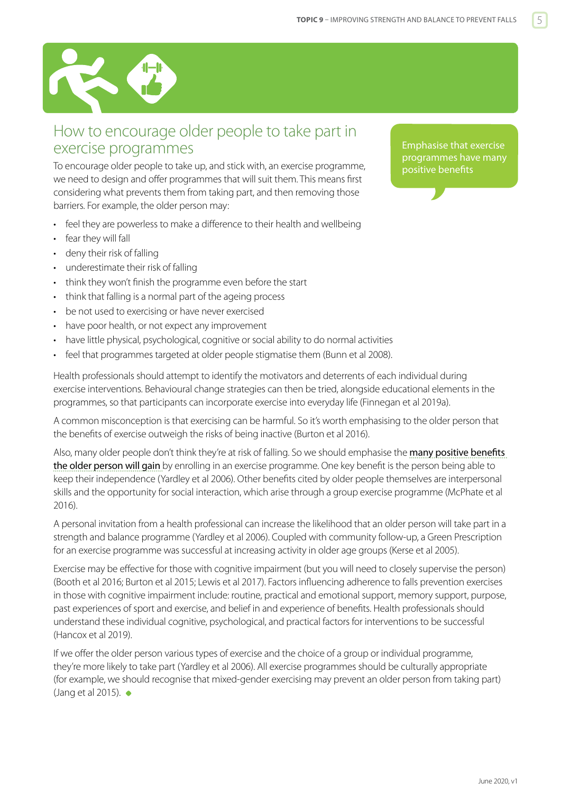<span id="page-4-0"></span>

## How to encourage older people to take part in exercise programmes

To encourage older people to take up, and stick with, an exercise programme, we need to design and offer programmes that will suit them. This means first considering what prevents them from taking part, and then removing those barriers. For example, the older person may:

- feel they are powerless to make a difference to their health and wellbeing
- fear they will fall
- deny their risk of falling
- underestimate their risk of falling
- think they won't finish the programme even before the start
- think that falling is a normal part of the ageing process
- be not used to exercising or have never exercised
- have poor health, or not expect any improvement
- have little physical, psychological, cognitive or social ability to do normal activities
- feel that programmes targeted at older people stigmatise them (Bunn et al 2008).

Health professionals should attempt to identify the motivators and deterrents of each individual during exercise interventions. Behavioural change strategies can then be tried, alongside educational elements in the programmes, so that participants can incorporate exercise into everyday life (Finnegan et al 2019a).

A common misconception is that exercising can be harmful. So it's worth emphasising to the older person that the benefits of exercise outweigh the risks of being inactive (Burton et al 2016).

Also, many older people don't think they're at risk of falling. So we should emphasise the many positive benefits [the older person will gain](http://www.health.govt.nz/system/files/documents/publications/physical-activity-for-older-people-factsheet-v2.pdf) by enrolling in an exercise programme. One key benefit is the person being able to keep their independence (Yardley et al 2006). Other benefits cited by older people themselves are interpersonal skills and the opportunity for social interaction, which arise through a group exercise programme (McPhate et al 2016).

A personal invitation from a health professional can increase the likelihood that an older person will take part in a strength and balance programme (Yardley et al 2006). Coupled with community follow-up, a Green Prescription for an exercise programme was successful at increasing activity in older age groups (Kerse et al 2005).

Exercise may be effective for those with cognitive impairment (but you will need to closely supervise the person) (Booth et al 2016; Burton et al 2015; Lewis et al 2017). Factors influencing adherence to falls prevention exercises in those with cognitive impairment include: routine, practical and emotional support, memory support, purpose, past experiences of sport and exercise, and belief in and experience of benefits. Health professionals should understand these individual cognitive, psychological, and practical factors for interventions to be successful (Hancox et al 2019).

If we offer the older person various types of exercise and the choice of a group or individual programme, they're more likely to take part (Yardley et al 2006). All exercise programmes should be culturally appropriate (for example, we should recognise that mixed-gender exercising may prevent an older person from taking part) (Jang et al 2015).

Emphasise that exercise programmes have many positive benefits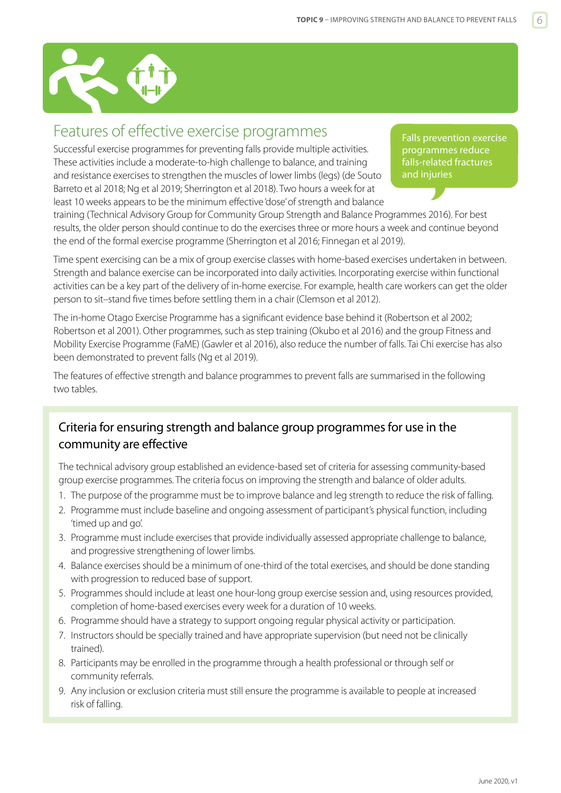<span id="page-5-0"></span>

## Features of effective exercise programmes

Successful exercise programmes for preventing falls provide multiple activities. These activities include a moderate-to-high challenge to balance, and training and resistance exercises to strengthen the muscles of lower limbs (legs) (de Souto Barreto et al 2018; Ng et al 2019; Sherrington et al 2018). Two hours a week for at least 10 weeks appears to be the minimum effective 'dose' of strength and balance

Falls prevention exercise programmes reduce falls-related fractures and injuries

training (Technical Advisory Group for Community Group Strength and Balance Programmes 2016). For best results, the older person should continue to do the exercises three or more hours a week and continue beyond the end of the formal exercise programme (Sherrington et al 2016; Finnegan et al 2019).

Time spent exercising can be a mix of group exercise classes with home-based exercises undertaken in between. Strength and balance exercise can be incorporated into daily activities. Incorporating exercise within functional activities can be a key part of the delivery of in-home exercise. For example, health care workers can get the older person to sit–stand five times before settling them in a chair (Clemson et al 2012).

The in-home Otago Exercise Programme has a significant evidence base behind it (Robertson et al 2002; Robertson et al 2001). Other programmes, such as step training (Okubo et al 2016) and the group Fitness and Mobility Exercise Programme (FaME) (Gawler et al 2016), also reduce the number of falls. Tai Chi exercise has also been demonstrated to prevent falls (Ng et al 2019).

The features of effective strength and balance programmes to prevent falls are summarised in the following two tables.

### Criteria for ensuring strength and balance group programmes for use in the community are effective

The technical advisory group established an evidence-based set of criteria for assessing community-based group exercise programmes. The criteria focus on improving the strength and balance of older adults.

- 1. The purpose of the programme must be to improve balance and leg strength to reduce the risk of falling.
- 2. Programme must include baseline and ongoing assessment of participant's physical function, including 'timed up and go'.
- 3. Programme must include exercises that provide individually assessed appropriate challenge to balance, and progressive strengthening of lower limbs.
- 4. Balance exercises should be a minimum of one-third of the total exercises, and should be done standing with progression to reduced base of support.
- 5. Programmes should include at least one hour-long group exercise session and, using resources provided, completion of home-based exercises every week for a duration of 10 weeks.
- 6. Programme should have a strategy to support ongoing regular physical activity or participation.
- 7. Instructors should be specially trained and have appropriate supervision (but need not be clinically trained).
- 8. Participants may be enrolled in the programme through a health professional or through self or community referrals.
- 9. Any inclusion or exclusion criteria must still ensure the programme is available to people at increased risk of falling.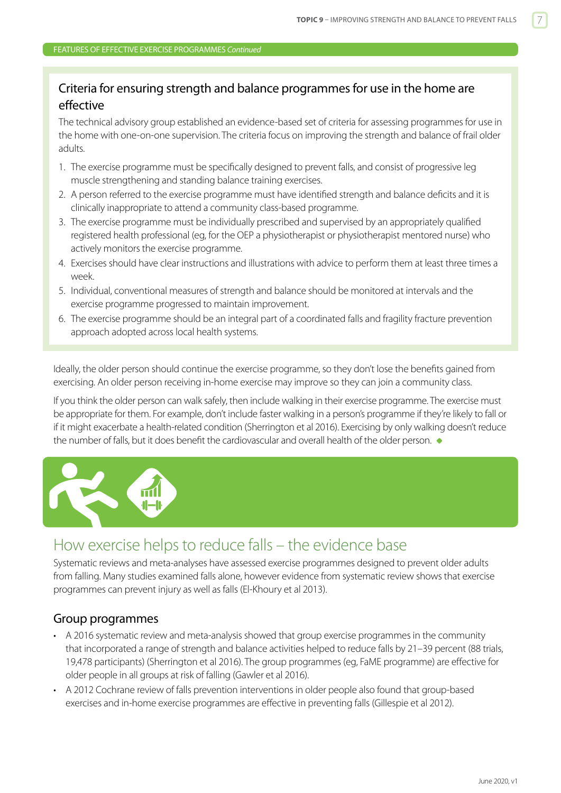### <span id="page-6-0"></span>Criteria for ensuring strength and balance programmes for use in the home are effective

The technical advisory group established an evidence-based set of criteria for assessing programmes for use in the home with one-on-one supervision. The criteria focus on improving the strength and balance of frail older adults.

- 1. The exercise programme must be specifically designed to prevent falls, and consist of progressive leg muscle strengthening and standing balance training exercises.
- 2. A person referred to the exercise programme must have identified strength and balance deficits and it is clinically inappropriate to attend a community class-based programme.
- 3. The exercise programme must be individually prescribed and supervised by an appropriately qualified registered health professional (eg, for the OEP a physiotherapist or physiotherapist mentored nurse) who actively monitors the exercise programme.
- 4. Exercises should have clear instructions and illustrations with advice to perform them at least three times a week.
- 5. Individual, conventional measures of strength and balance should be monitored at intervals and the exercise programme progressed to maintain improvement.
- 6. The exercise programme should be an integral part of a coordinated falls and fragility fracture prevention approach adopted across local health systems.

Ideally, the older person should continue the exercise programme, so they don't lose the benefits gained from exercising. An older person receiving in-home exercise may improve so they can join a community class.

If you think the older person can walk safely, then include walking in their exercise programme. The exercise must be appropriate for them. For example, don't include faster walking in a person's programme if they're likely to fall or if it might exacerbate a health-related condition (Sherrington et al 2016). Exercising by only walking doesn't reduce the number of falls, but it does benefit the cardiovascular and overall health of the older person.  $\bullet$ 



## How exercise helps to reduce falls – the evidence base

Systematic reviews and meta-analyses have assessed exercise programmes designed to prevent older adults from falling. Many studies examined falls alone, however evidence from systematic review shows that exercise programmes can prevent injury as well as falls (El-Khoury et al 2013).

#### Group programmes

- A 2016 systematic review and meta-analysis showed that group exercise programmes in the community that incorporated a range of strength and balance activities helped to reduce falls by 21–39 percent (88 trials, 19,478 participants) (Sherrington et al 2016). The group programmes (eg, FaME programme) are effective for older people in all groups at risk of falling (Gawler et al 2016).
- A 2012 Cochrane review of falls prevention interventions in older people also found that group-based exercises and in-home exercise programmes are effective in preventing falls (Gillespie et al 2012).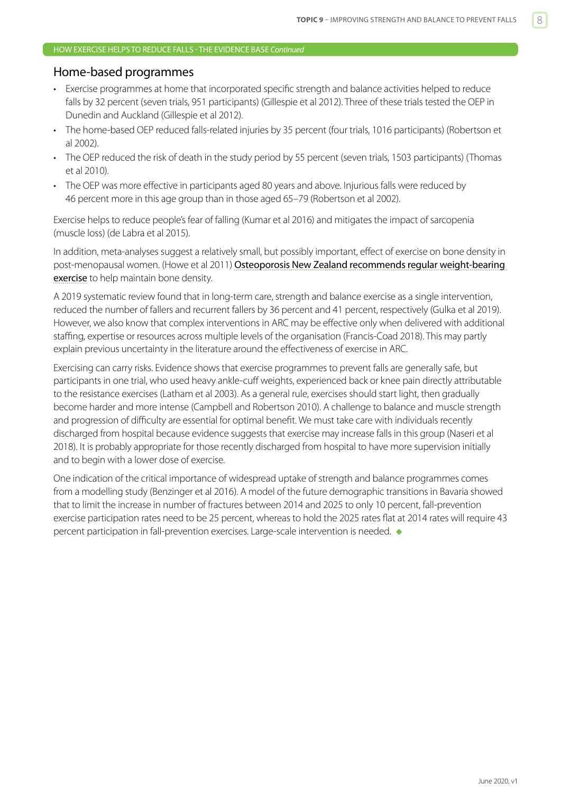#### HOW EXERCISE HELPS TO REDUCE FALLS - THE EVIDENCE BASE *Continued*

#### Home-based programmes

- Exercise programmes at home that incorporated specific strength and balance activities helped to reduce falls by 32 percent (seven trials, 951 participants) (Gillespie et al 2012). Three of these trials tested the OEP in Dunedin and Auckland (Gillespie et al 2012).
- The home-based OEP reduced falls-related injuries by 35 percent (four trials, 1016 participants) (Robertson et al 2002).
- The OEP reduced the risk of death in the study period by 55 percent (seven trials, 1503 participants) (Thomas et al 2010).
- The OEP was more effective in participants aged 80 years and above. Injurious falls were reduced by 46 percent more in this age group than in those aged 65–79 (Robertson et al 2002).

Exercise helps to reduce people's fear of falling (Kumar et al 2016) and mitigates the impact of sarcopenia (muscle loss) (de Labra et al 2015).

In addition, meta-analyses suggest a relatively small, but possibly important, effect of exercise on bone density in post-menopausal women. (Howe et al 2011) Osteoporosis New Zealand recommends regular weight-bearing [exercise](http://osteoporosis.org.nz/clinical-guidance/) to help maintain bone density.

A 2019 systematic review found that in long-term care, strength and balance exercise as a single intervention, reduced the number of fallers and recurrent fallers by 36 percent and 41 percent, respectively (Gulka et al 2019). However, we also know that complex interventions in ARC may be effective only when delivered with additional staffing, expertise or resources across multiple levels of the organisation (Francis-Coad 2018). This may partly explain previous uncertainty in the literature around the effectiveness of exercise in ARC.

Exercising can carry risks. Evidence shows that exercise programmes to prevent falls are generally safe, but participants in one trial, who used heavy ankle-cuff weights, experienced back or knee pain directly attributable to the resistance exercises (Latham et al 2003). As a general rule, exercises should start light, then gradually become harder and more intense (Campbell and Robertson 2010). A challenge to balance and muscle strength and progression of difficulty are essential for optimal benefit. We must take care with individuals recently discharged from hospital because evidence suggests that exercise may increase falls in this group (Naseri et al 2018). It is probably appropriate for those recently discharged from hospital to have more supervision initially and to begin with a lower dose of exercise.

One indication of the critical importance of widespread uptake of strength and balance programmes comes from a modelling study (Benzinger et al 2016). A model of the future demographic transitions in Bavaria showed that to limit the increase in number of fractures between 2014 and 2025 to only 10 percent, fall-prevention exercise participation rates need to be 25 percent, whereas to hold the 2025 rates flat at 2014 rates will require 43 percent participation in fall-prevention exercises. Large-scale intervention is needed.  $\bullet$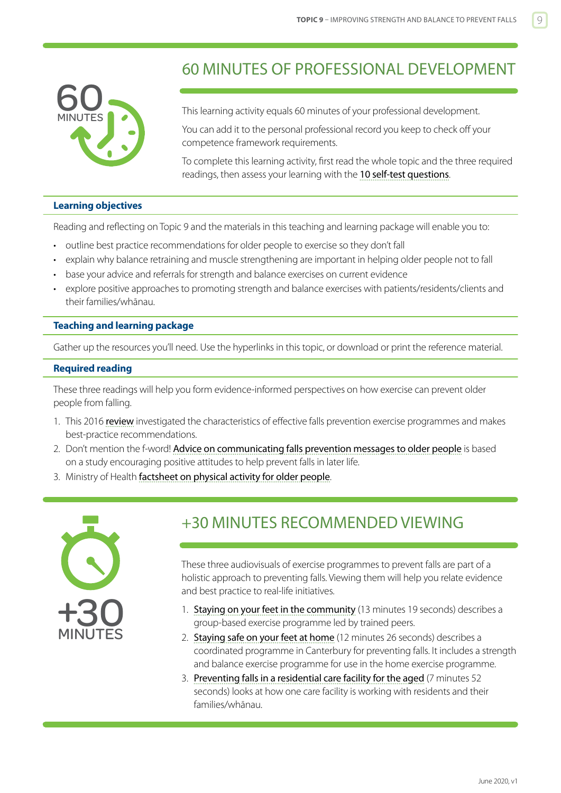<span id="page-8-0"></span>

## 60 MINUTES OF PROFESSIONAL DEVELOPMENT

This learning activity equals 60 minutes of your professional development.

You can add it to the personal professional record you keep to check off your competence framework requirements.

To complete this learning activity, first read the whole topic and the three required readings, then assess your learning with the [10 self-test questions](#page-10-0).

#### **Learning objectives**

Reading and reflecting on Topic 9 and the materials in this teaching and learning package will enable you to:

- outline best practice recommendations for older people to exercise so they don't fall
- explain why balance retraining and muscle strengthening are important in helping older people not to fall
- base your advice and referrals for strength and balance exercises on current evidence
- explore positive approaches to promoting strength and balance exercises with patients/residents/clients and their families/whānau.

#### **Teaching and learning package**

Gather up the resources you'll need. Use the hyperlinks in this topic, or download or print the reference material.

#### **Required reading**

These three readings will help you form evidence-informed perspectives on how exercise can prevent older people from falling.

- 1. This 2016 [review](https://bjsm.bmj.com/content/bjsports/51/24/1750.full.pdf) investigated the characteristics of effective falls prevention exercise programmes and makes best-practice recommendations.
- 2. Don't mention the f-word! [Advice on communicating falls prevention messages to older people](http://www.slips-online.co.uk/resources/dont-mention-the-f-word.pdf) is based on a study encouraging positive attitudes to help prevent falls in later life.
- 3. Ministry of Health [factsheet on physical activity for older people](http://www.health.govt.nz/system/files/documents/publications/physical-activity-for-older-people-factsheet-v2.pdf).



## +30 MINUTES RECOMMENDED VIEWING

These three audiovisuals of exercise programmes to prevent falls are part of a holistic approach to preventing falls. Viewing them will help you relate evidence and best practice to real-life initiatives.

- 1. [Staying on your feet in the community](http://www.open.hqsc.govt.nz/falls/publications-and-resources/publication/1262/) (13 minutes 19 seconds) describes a group-based exercise programme led by trained peers.
- 2. [Staying safe on your feet at home](http://www.open.hqsc.govt.nz/falls/publications-and-resources/publication/915/) (12 minutes 26 seconds) describes a coordinated programme in Canterbury for preventing falls. It includes a strength and balance exercise programme for use in the home exercise programme.
- 3. [Preventing falls in a residential care facility for the aged](http://www.open.hqsc.govt.nz/falls/publications-and-resources/publication/1106/) (7 minutes 52 seconds) looks at how one care facility is working with residents and their families/whānau.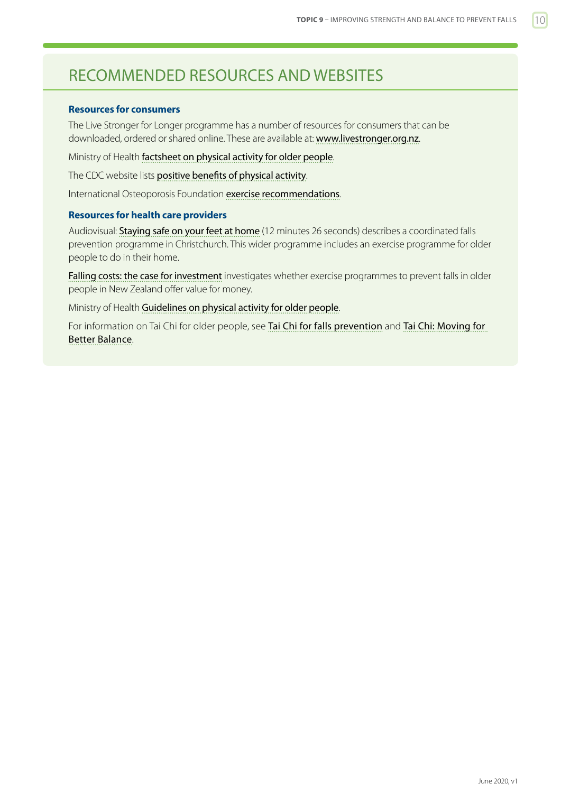## <span id="page-9-0"></span>RECOMMENDED RESOURCES AND WEBSITES

#### **Resources for consumers**

The Live Stronger for Longer programme has a number of resources for consumers that can be downloaded, ordered or shared online. These are available at: <www.livestronger.org.nz>.

Ministry of Health [factsheet on physical activity for older people](http://www.health.govt.nz/system/files/documents/publications/physical-activity-for-older-people-factsheet-v2.pdf).

The CDC website lists [positive benefits of physical activity](https://www.cdc.gov/physicalactivity/basics/pa-health/index.htm).

International Osteoporosis Foundation [exercise recommendations](http://www.iofbonehealth.org/exercise-recommendations).

#### **Resources for health care providers**

Audiovisual: [Staying safe on your feet at home](http://www.open.hqsc.govt.nz/falls/publications-and-resources/publication/915/) (12 minutes 26 seconds) describes a coordinated falls prevention programme in Christchurch. This wider programme includes an exercise programme for older people to do in their home.

[Falling costs: the case for investment](http://www.hqsc.govt.nz/assets/Falls/PR/Falling-costs-case-for-investment-report-June-2013.pdf) investigates whether exercise programmes to prevent falls in older people in New Zealand offer value for money.

Ministry of Health [Guidelines on physical activity for older people](http://www.health.govt.nz/publication/guidelines-physical-activity-older-people-aged-65-years-and-over).

For information on Tai Chi for older people, see [Tai Chi for falls prevention](http://www.livingchi.com.au/tai-chi-programs/tai-chi-for-falls-prevention) and [Tai Chi: Moving for](https://tjqmbb.org/)  [Better Balance](https://tjqmbb.org/).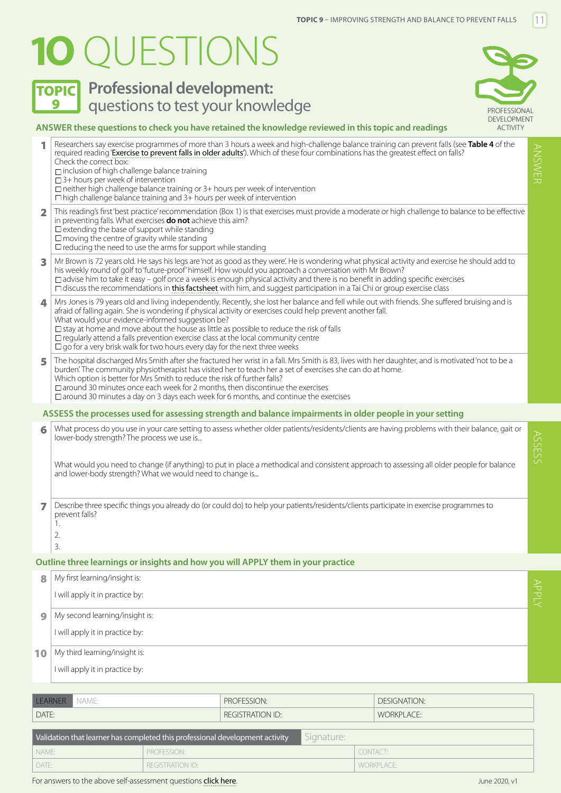# <span id="page-10-0"></span>**1O** QUESTIONS

**TOPIC** Professional development:



ANSWER

#### **ANSWER these questions to check you have retained the knowledge reviewed in this topic and readings** 1 Researchers say exercise programmes of more than 3 hours a week and high-challenge balance training can prevent falls (see **Table 4** of the required reading '[Exercise to prevent falls in older adults'](https://bjsm.bmj.com/content/bjsports/51/24/1750.full.pdf)). Which of these four combinations has the greatest effect on falls? Check the correct box:  $\Box$  inclusion of high challenge balance training □ 3+ hours per week of intervention  $\Box$  neither high challenge balance training or  $3+$  hours per week of intervention  $\Box$  high challenge balance training and  $3+$  hours per week of intervention 2 This reading's first 'best practice' recommendation (Box 1) is that exercises must provide a moderate or high challenge to balance to be effective in preventing falls. What exercises **do not** achieve this aim?  $\square$  extending the base of support while standing  $\square$  moving the centre of gravity while standing  $\Box$  reducing the need to use the arms for support while standing 3 Mr Brown is 72 years old. He says his legs are 'not as good as they were'. He is wondering what physical activity and exercise he should add to his weekly round of golf to 'future-proof' himself. How would you approach a conversation with Mr Brown?  $\Box$  advise him to take it easy – golf once a week is enough physical activity and there is no benefit in adding specific exercises  $\Box$  discuss the recommendations in [this factsheet](http://www.health.govt.nz/system/files/documents/publications/physical-activity-for-older-people-factsheet-v2.pdf) with him, and suggest participation in a Tai Chi or group exercise class  $\bf{4}$  | Mrs Jones is 79 years old and living independently. Recently, she lost her balance and fell while out with friends. She suffered bruising and is afraid of falling again. She is wondering if physical activity or exercises could help prevent another fall. What would your evidence-informed suggestion be?  $\Box$  stay at home and move about the house as little as possible to reduce the risk of falls  $\Box$  regularly attend a falls prevention exercise class at the local community centre  $\Box$  go for a very brisk walk for two hours every day for the next three weeks 5 The hospital discharged Mrs Smith after she fractured her wrist in a fall. Mrs Smith is 83, lives with her daughter, and is motivated 'not to be a burden'. The community physiotherapist has visited her to teach her a set of exercises she can do at home. Which option is better for Mrs Smith to reduce the risk of further falls?  $\Box$  around 30 minutes once each week for 2 months, then discontinue the exercises  $\Box$  around 30 minutes a day on 3 days each week for 6 months, and continue the exercises 6 What process do you use in your care setting to assess whether older patients/residents/clients are having problems with their balance, gait or lower-body strength? The process we use is... What would you need to change (if anything) to put in place a methodical and consistent approach to assessing all older people for balance and lower-body strength? What we would need to change is... 7 Describe three specific things you already do (or could do) to help your patients/residents/clients participate in exercise programmes to prevent falls? 1. 2. 3. **Outline three learnings or insights and how you will APPLY them in your practice** 8 My first learning/insight is: I will apply it in practice by: **9 Questions to test your knowledge PROFESSIONAL ASSESS the processes used for assessing strength and balance impairments in older people in your setting** ACTIVITY

Validation that learner has completed this professional development activity  $\blacksquare$  Signature: NAME: PROFESSION: CONTACT: DATE: REGISTRATION ID: WORKPLACE:

LEARNER NAME: PROFESSION: DESIGNATION: DATE: REGISTRATION ID: WORKPLACE:

 $\bigcirc$  My second learning/insight is: I will apply it in practice by:

10 My third learning/insight is:

I will apply it in practice by:

ASSESS

APPLY